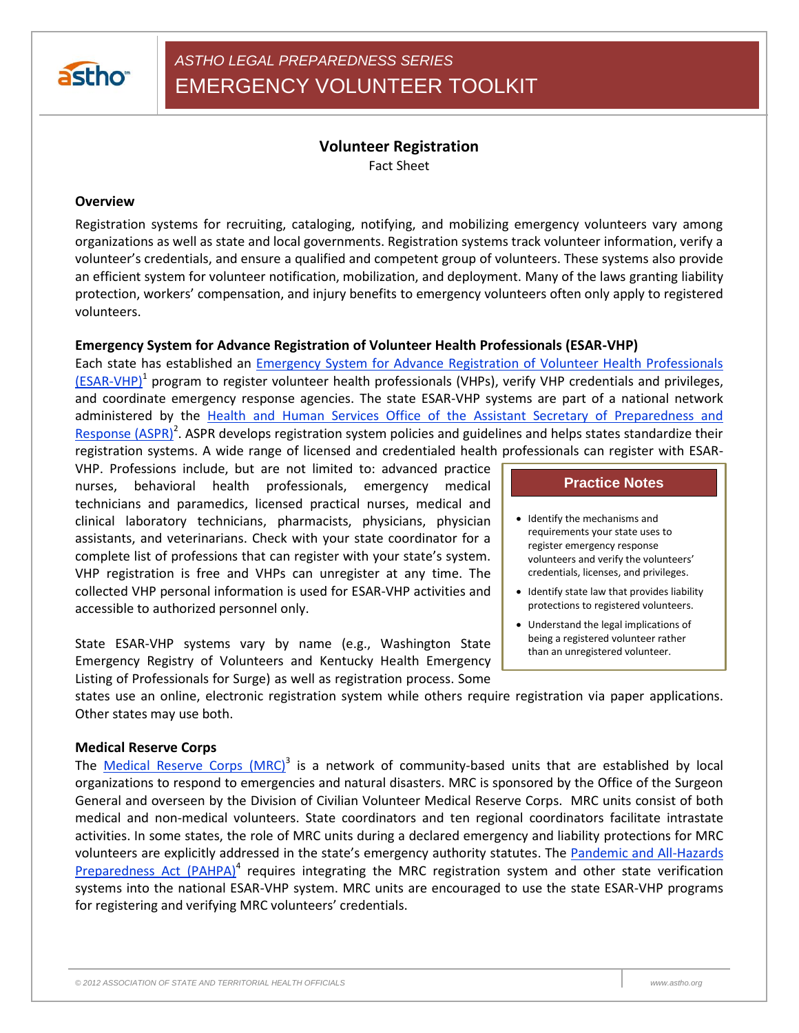

# *ASTHO LEGAL PREPAREDNESS SERIES* EMERGENCY VOLUNTEER TOOLKIT

# **Volunteer Registration**

Fact Sheet

#### **Overview**

Registration systems for recruiting, cataloging, notifying, and mobilizing emergency volunteers vary among organizations as well as state and local governments. Registration systems track volunteer information, verify a volunteer's credentials, and ensure a qualified and competent group of volunteers. These systems also provide an efficient system for volunteer notification, mobilization, and deployment. Many of the laws granting liability protection, workers' compensation, and injury benefits to emergency volunteers often only apply to registered volunteers.

#### **Emergency System for Advance Registration of Volunteer Health Professionals (ESAR-VHP)**

Each state has established an [Emergency System for Advance Registration of Volunteer Health Professionals](http://www.phe.gov/esarvhp/Pages/default.aspx)  [\(ESAR-VHP\)](http://www.phe.gov/esarvhp/Pages/default.aspx)<sup>1</sup> program to register volunteer health professionals (VHPs), verify VHP credentials and privileges, and coordinate emergency response agencies. The state ESAR-VHP systems are part of a national network administered by the Health and Human Services Office of the Assistant Secretary of Preparedness and [Response \(ASPR\)](http://www.phe.gov/preparedness/pages/default.aspx)<sup>2</sup>. ASPR develops registration system policies and guidelines and helps states standardize their registration systems. A wide range of licensed and credentialed health professionals can register with ESAR-

VHP. Professions include, but are not limited to: advanced practice nurses, behavioral health professionals, emergency medical technicians and paramedics, licensed practical nurses, medical and clinical laboratory technicians, pharmacists, physicians, physician assistants, and veterinarians. Check with your state coordinator for a complete list of professions that can register with your state's system. VHP registration is free and VHPs can unregister at any time. The collected VHP personal information is used for ESAR-VHP activities and accessible to authorized personnel only.

State ESAR-VHP systems vary by name (e.g., Washington State Emergency Registry of Volunteers and Kentucky Health Emergency Listing of Professionals for Surge) as well as registration process. Some

### **Practice Notes**

- Identify the mechanisms and requirements your state uses to register emergency response volunteers and verify the volunteers' credentials, licenses, and privileges.
- Identify state law that provides liability protections to registered volunteers.
- Understand the legal implications of being a registered volunteer rather than an unregistered volunteer.

states use an online, electronic registration system while others require registration via paper applications. Other states may use both.

#### **Medical Reserve Corps**

The *[Medical Reserve Corps \(MRC\)](https://www.medicalreservecorps.gov/HomePage)*<sup>3</sup> is a network of community-based units that are established by local organizations to respond to emergencies and natural disasters. MRC is sponsored by the Office of the Surgeon General and overseen by the Division of Civilian Volunteer Medical Reserve Corps. MRC units consist of both medical and non-medical volunteers. State coordinators and ten regional coordinators facilitate intrastate activities. In some states, the role of MRC units during a declared emergency and liability protections for MRC volunteers are explicitly addressed in the state's emergency authority statutes. The Pandemic and All-Hazards [Preparedness Act \(PAHPA\)](http://www.phe.gov/Preparedness/legal/pahpa/Pages/default.aspx)<sup>4</sup> requires integrating the MRC registration system and other state verification systems into the national ESAR-VHP system. MRC units are encouraged to use the state ESAR-VHP programs for registering and verifying MRC volunteers' credentials.